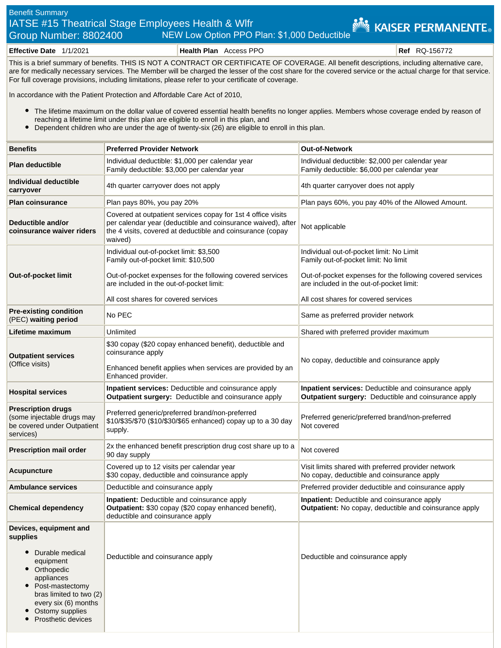## **KAISER PERMANENTE.**

**Effective Date** 1/1/2021 **Health Plan** Access PPO **Ref** RQ-156772

This is a brief summary of benefits. THIS IS NOT A CONTRACT OR CERTIFICATE OF COVERAGE. All benefit descriptions, including alternative care, are for medically necessary services. The Member will be charged the lesser of the cost share for the covered service or the actual charge for that service. For full coverage provisions, including limitations, please refer to your certificate of coverage.

In accordance with the Patient Protection and Affordable Care Act of 2010,

- The lifetime maximum on the dollar value of covered essential health benefits no longer applies. Members whose coverage ended by reason of reaching a lifetime limit under this plan are eligible to enroll in this plan, and
- $\bullet$ Dependent children who are under the age of twenty-six (26) are eligible to enroll in this plan.

| <b>Benefits</b>                                                                                                                                                                                                   | <b>Preferred Provider Network</b>                                                                                                                                                                                                | <b>Out-of-Network</b>                                                                                                                                                                                                             |
|-------------------------------------------------------------------------------------------------------------------------------------------------------------------------------------------------------------------|----------------------------------------------------------------------------------------------------------------------------------------------------------------------------------------------------------------------------------|-----------------------------------------------------------------------------------------------------------------------------------------------------------------------------------------------------------------------------------|
| <b>Plan deductible</b>                                                                                                                                                                                            | Individual deductible: \$1,000 per calendar year<br>Family deductible: \$3,000 per calendar year                                                                                                                                 | Individual deductible: \$2,000 per calendar year<br>Family deductible: \$6,000 per calendar year                                                                                                                                  |
| Individual deductible<br>carryover                                                                                                                                                                                | 4th quarter carryover does not apply                                                                                                                                                                                             | 4th quarter carryover does not apply                                                                                                                                                                                              |
| <b>Plan coinsurance</b>                                                                                                                                                                                           | Plan pays 80%, you pay 20%                                                                                                                                                                                                       | Plan pays 60%, you pay 40% of the Allowed Amount.                                                                                                                                                                                 |
| Deductible and/or<br>coinsurance waiver riders                                                                                                                                                                    | Covered at outpatient services copay for 1st 4 office visits<br>per calendar year (deductible and coinsurance waived), after<br>the 4 visits, covered at deductible and coinsurance (copay<br>waived)                            | Not applicable                                                                                                                                                                                                                    |
| Out-of-pocket limit                                                                                                                                                                                               | Individual out-of-pocket limit: \$3,500<br>Family out-of-pocket limit: \$10,500<br>Out-of-pocket expenses for the following covered services<br>are included in the out-of-pocket limit:<br>All cost shares for covered services | Individual out-of-pocket limit: No Limit<br>Family out-of-pocket limit: No limit<br>Out-of-pocket expenses for the following covered services<br>are included in the out-of-pocket limit:<br>All cost shares for covered services |
| <b>Pre-existing condition</b><br>(PEC) waiting period                                                                                                                                                             | No PEC                                                                                                                                                                                                                           | Same as preferred provider network                                                                                                                                                                                                |
| Lifetime maximum                                                                                                                                                                                                  | Unlimited                                                                                                                                                                                                                        | Shared with preferred provider maximum                                                                                                                                                                                            |
| <b>Outpatient services</b><br>(Office visits)                                                                                                                                                                     | \$30 copay (\$20 copay enhanced benefit), deductible and<br>coinsurance apply<br>Enhanced benefit applies when services are provided by an<br>Enhanced provider.                                                                 | No copay, deductible and coinsurance apply                                                                                                                                                                                        |
| <b>Hospital services</b>                                                                                                                                                                                          | Inpatient services: Deductible and coinsurance apply<br>Outpatient surgery: Deductible and coinsurance apply                                                                                                                     | Inpatient services: Deductible and coinsurance apply<br>Outpatient surgery: Deductible and coinsurance apply                                                                                                                      |
| <b>Prescription drugs</b><br>(some injectable drugs may<br>be covered under Outpatient<br>services)                                                                                                               | Preferred generic/preferred brand/non-preferred<br>\$10/\$35/\$70 (\$10/\$30/\$65 enhanced) copay up to a 30 day<br>supply.                                                                                                      | Preferred generic/preferred brand/non-preferred<br>Not covered                                                                                                                                                                    |
| <b>Prescription mail order</b>                                                                                                                                                                                    | 2x the enhanced benefit prescription drug cost share up to a<br>90 day supply                                                                                                                                                    | Not covered                                                                                                                                                                                                                       |
| <b>Acupuncture</b>                                                                                                                                                                                                | Covered up to 12 visits per calendar year<br>\$30 copay, deductible and coinsurance apply                                                                                                                                        | Visit limits shared with preferred provider network<br>No copay, deductible and coinsurance apply                                                                                                                                 |
| <b>Ambulance services</b>                                                                                                                                                                                         | Deductible and coinsurance apply                                                                                                                                                                                                 | Preferred provider deductible and coinsurance apply                                                                                                                                                                               |
| <b>Chemical dependency</b>                                                                                                                                                                                        | Inpatient: Deductible and coinsurance apply<br>Outpatient: \$30 copay (\$20 copay enhanced benefit),<br>deductible and coinsurance apply                                                                                         | Inpatient: Deductible and coinsurance apply<br>Outpatient: No copay, deductible and coinsurance apply                                                                                                                             |
| Devices, equipment and<br>supplies<br>• Durable medical<br>equipment<br>• Orthopedic<br>appliances<br>Post-mastectomy<br>bras limited to two (2)<br>every six (6) months<br>Ostomy supplies<br>Prosthetic devices | Deductible and coinsurance apply                                                                                                                                                                                                 | Deductible and coinsurance apply                                                                                                                                                                                                  |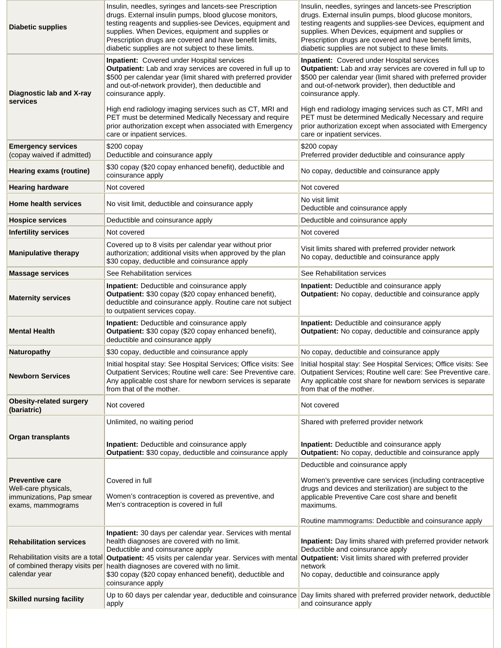| of combined therapy visits per<br>calendar year         | Rehabilitation visits are a total <i>Outpatient:</i> 45 visits per calendar year. Services with mental <b>Outpatient:</b> Visit limits shared with preferred provider<br>health diagnoses are covered with no limit.<br>\$30 copay (\$20 copay enhanced benefit), deductible and         | network<br>No copay, deductible and coinsurance apply                                                                                                                                                                                                                                    |
|---------------------------------------------------------|------------------------------------------------------------------------------------------------------------------------------------------------------------------------------------------------------------------------------------------------------------------------------------------|------------------------------------------------------------------------------------------------------------------------------------------------------------------------------------------------------------------------------------------------------------------------------------------|
| <b>Rehabilitation services</b>                          | Inpatient: 30 days per calendar year. Services with mental<br>health diagnoses are covered with no limit.<br>Deductible and coinsurance apply                                                                                                                                            | Inpatient: Day limits shared with preferred provider network<br>Deductible and coinsurance apply                                                                                                                                                                                         |
| immunizations, Pap smear<br>exams, mammograms           | Women's contraception is covered as preventive, and<br>Men's contraception is covered in full                                                                                                                                                                                            | applicable Preventive Care cost share and benefit<br>maximums.<br>Routine mammograms: Deductible and coinsurance apply                                                                                                                                                                   |
| <b>Preventive care</b><br>Well-care physicals,          | Covered in full                                                                                                                                                                                                                                                                          | Deductible and coinsurance apply<br>Women's preventive care services (including contraceptive<br>drugs and devices and sterilization) are subject to the                                                                                                                                 |
|                                                         | Inpatient: Deductible and coinsurance apply<br><b>Outpatient:</b> \$30 copay, deductible and coinsurance apply                                                                                                                                                                           | Inpatient: Deductible and coinsurance apply<br>Outpatient: No copay, deductible and coinsurance apply                                                                                                                                                                                    |
| <b>Organ transplants</b>                                | Unlimited, no waiting period                                                                                                                                                                                                                                                             | Shared with preferred provider network                                                                                                                                                                                                                                                   |
| <b>Obesity-related surgery</b><br>(bariatric)           | Not covered                                                                                                                                                                                                                                                                              | Not covered                                                                                                                                                                                                                                                                              |
| <b>Newborn Services</b>                                 | Initial hospital stay: See Hospital Services; Office visits: See<br>Outpatient Services; Routine well care: See Preventive care.<br>Any applicable cost share for newborn services is separate<br>from that of the mother.                                                               | Initial hospital stay: See Hospital Services; Office visits: See<br>Outpatient Services; Routine well care: See Preventive care.<br>Any applicable cost share for newborn services is separate<br>from that of the mother.                                                               |
| Naturopathy                                             | \$30 copay, deductible and coinsurance apply                                                                                                                                                                                                                                             | No copay, deductible and coinsurance apply                                                                                                                                                                                                                                               |
| <b>Mental Health</b>                                    | Inpatient: Deductible and coinsurance apply<br>Outpatient: \$30 copay (\$20 copay enhanced benefit),<br>deductible and coinsurance apply                                                                                                                                                 | Inpatient: Deductible and coinsurance apply<br>Outpatient: No copay, deductible and coinsurance apply                                                                                                                                                                                    |
| <b>Maternity services</b>                               | Inpatient: Deductible and coinsurance apply<br>Outpatient: \$30 copay (\$20 copay enhanced benefit),<br>deductible and coinsurance apply. Routine care not subject<br>to outpatient services copay.                                                                                      | Inpatient: Deductible and coinsurance apply<br><b>Outpatient:</b> No copay, deductible and coinsurance apply                                                                                                                                                                             |
| <b>Massage services</b>                                 | See Rehabilitation services                                                                                                                                                                                                                                                              | See Rehabilitation services                                                                                                                                                                                                                                                              |
| <b>Manipulative therapy</b>                             | Covered up to 8 visits per calendar year without prior<br>authorization; additional visits when approved by the plan<br>\$30 copay, deductible and coinsurance apply                                                                                                                     | Visit limits shared with preferred provider network<br>No copay, deductible and coinsurance apply                                                                                                                                                                                        |
| <b>Infertility services</b>                             | Not covered                                                                                                                                                                                                                                                                              | Not covered                                                                                                                                                                                                                                                                              |
| <b>Hospice services</b>                                 | Deductible and coinsurance apply                                                                                                                                                                                                                                                         | Deductible and coinsurance apply                                                                                                                                                                                                                                                         |
| <b>Home health services</b>                             | No visit limit, deductible and coinsurance apply                                                                                                                                                                                                                                         | No visit limit<br>Deductible and coinsurance apply                                                                                                                                                                                                                                       |
| <b>Hearing hardware</b>                                 | Not covered                                                                                                                                                                                                                                                                              | Not covered                                                                                                                                                                                                                                                                              |
| Hearing exams (routine)                                 | \$30 copay (\$20 copay enhanced benefit), deductible and<br>coinsurance apply                                                                                                                                                                                                            | No copay, deductible and coinsurance apply                                                                                                                                                                                                                                               |
| <b>Emergency services</b><br>(copay waived if admitted) | $$200$ copay<br>Deductible and coinsurance apply                                                                                                                                                                                                                                         | $$200$ copay<br>Preferred provider deductible and coinsurance apply                                                                                                                                                                                                                      |
| services                                                | High end radiology imaging services such as CT, MRI and<br>PET must be determined Medically Necessary and require<br>prior authorization except when associated with Emergency<br>care or inpatient services.                                                                            | High end radiology imaging services such as CT, MRI and<br>PET must be determined Medically Necessary and require<br>prior authorization except when associated with Emergency<br>care or inpatient services.                                                                            |
| <b>Diagnostic lab and X-ray</b>                         | Inpatient: Covered under Hospital services<br>Outpatient: Lab and xray services are covered in full up to<br>\$500 per calendar year (limit shared with preferred provider<br>and out-of-network provider), then deductible and<br>coinsurance apply.                                    | Inpatient: Covered under Hospital services<br>Outpatient: Lab and xray services are covered in full up to<br>\$500 per calendar year (limit shared with preferred provider<br>and out-of-network provider), then deductible and<br>coinsurance apply.                                    |
| <b>Diabetic supplies</b>                                | drugs. External insulin pumps, blood glucose monitors,<br>testing reagents and supplies-see Devices, equipment and<br>supplies. When Devices, equipment and supplies or<br>Prescription drugs are covered and have benefit limits,<br>diabetic supplies are not subject to these limits. | drugs. External insulin pumps, blood glucose monitors,<br>testing reagents and supplies-see Devices, equipment and<br>supplies. When Devices, equipment and supplies or<br>Prescription drugs are covered and have benefit limits,<br>diabetic supplies are not subject to these limits. |
|                                                         | Insulin, needles, syringes and lancets-see Prescription                                                                                                                                                                                                                                  | Insulin, needles, syringes and lancets-see Prescription                                                                                                                                                                                                                                  |